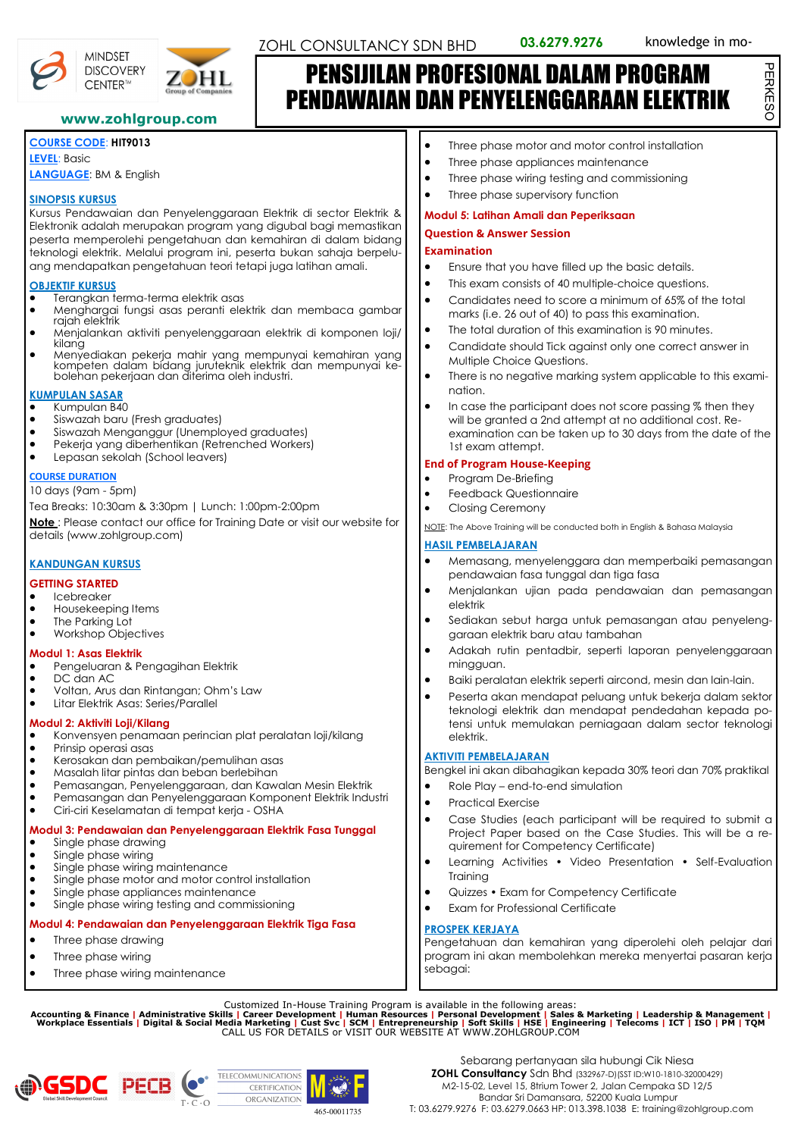



PERKESO

PERKESC

## PENSIJILAN PROFESIONAL DALAM PROGRAM PENDAWAIAN DAN PENYELENGGARAAN ELEKTRIK

#### **www.zohlgroup.com**

### **COURSE CODE**: **HIT9013**

**MINDSET** 

CENTER™

**LEVEL**: Basic **LANGUAGE**: BM & English

#### **SINOPSIS KURSUS**

Kursus Pendawaian dan Penyelenggaraan Elektrik di sector Elektrik & Elektronik adalah merupakan program yang digubal bagi memastikan peserta memperolehi pengetahuan dan kemahiran di dalam bidang teknologi elektrik. Melalui program ini, peserta bukan sahaja berpeluang mendapatkan pengetahuan teori tetapi juga latihan amali.

#### **OBJEKTIF KURSUS**

- Terangkan terma-terma elektrik asas
- Menghargai fungsi asas peranti elektrik dan membaca gambar rajah elektrik
- Menjalankan aktiviti penyelenggaraan elektrik di komponen loji/ kilang
- Menyediakan pekerja mahir yang mempunyai kemahiran yang kompeten dalam bidang juruteknik elektrik dan mempunyai ke-bolehan pekerjaan dan diterima oleh industri.

#### **KUMPULAN SASAR**

- Kumpulan B40
- Siswazah baru (Fresh graduates)
- Siswazah Menganggur (Unemployed graduates)
- Pekerja yang diberhentikan (Retrenched Workers)
- Lepasan sekolah (School leavers)

#### **COURSE DURATION**

#### 10 days (9am - 5pm)

Tea Breaks: 10:30am & 3:30pm | Lunch: 1:00pm-2:00pm

**Note** : Please contact our office for Training Date or visit our website for details (www.zohlgroup.com)

#### **KANDUNGAN KURSUS**

#### **GETTING STARTED**

- Icebreaker
- Housekeeping Items
- The Parking Lot
- Workshop Objectives

#### **Modul 1: Asas Elektrik**

- Pengeluaran & Pengagihan Elektrik
- DC dan AC
- Voltan, Arus dan Rintangan; Ohm's Law
- Litar Elektrik Asas: Series/Parallel

#### **Modul 2: Aktiviti Loji/Kilang**

- Konvensyen penamaan perincian plat peralatan loji/kilang
- Prinsip operasi asas
- Kerosakan dan pembaikan/pemulihan asas
- Masalah litar pintas dan beban berlebihan
- Pemasangan, Penyelenggaraan, dan Kawalan Mesin Elektrik
- Pemasangan dan Penyelenggaraan Komponent Elektrik Industri<br>• Ciri-ciri Keselamatan di tempat keria OSHA
- Ciri-ciri Keselamatan di tempat kerja OSHA

#### **Modul 3: Pendawaian dan Penyelenggaraan Elektrik Fasa Tunggal** Single phase drawing

- Single phase wiring
- Single phase wiring maintenance
- Single phase motor and motor control installation
- Single phase appliances maintenance
- Single phase wiring testing and commissioning

#### **Modul 4: Pendawaian dan Penyelenggaraan Elektrik Tiga Fasa**

- Three phase drawing
- Three phase wiring
- Three phase wiring maintenance
- Three phase motor and motor control installation
- Three phase appliances maintenance
- Three phase wiring testing and commissioning
- Three phase supervisory function

#### **Modul 5: Latihan Amali dan Peperiksaan**

#### **Question & Answer Session**

#### **Examination**

- Ensure that you have filled up the basic details.
- This exam consists of 40 multiple-choice questions.
- Candidates need to score a minimum of 65% of the total marks (i.e. 26 out of 40) to pass this examination.
- The total duration of this examination is 90 minutes.
- Candidate should Tick against only one correct answer in Multiple Choice Questions.
- There is no negative marking system applicable to this examination.
- In case the participant does not score passing % then they will be granted a 2nd attempt at no additional cost. Reexamination can be taken up to 30 days from the date of the 1st exam attempt.

#### **End of Program House-Keeping**

- Program De-Briefing
- Closing Ceremony

#### **HASIL PEMBELAJARAN**

- Memasang, menyelenggara dan memperbaiki pemasangan pendawaian fasa tunggal dan tiga fasa
- Menjalankan ujian pada pendawaian dan pemasangan elektrik
- Sediakan sebut harga untuk pemasangan atau penyelenggaraan elektrik baru atau tambahan
- Adakah rutin pentadbir, seperti laporan penyelenggaraan mingguan.
- Baiki peralatan elektrik seperti aircond, mesin dan lain-lain.
- Peserta akan mendapat peluang untuk bekerja dalam sektor teknologi elektrik dan mendapat pendedahan kepada potensi untuk memulakan perniagaan dalam sector teknologi elektrik.

#### **AKTIVITI PEMBELAJARAN**

Bengkel ini akan dibahagikan kepada 30% teori dan 70% praktikal

- Role Play end-to-end simulation
- Practical Exercise
- Case Studies (each participant will be required to submit a Project Paper based on the Case Studies. This will be a requirement for Competency Certificate)
- Learning Activities Video Presentation Self-Evaluation Training
- Quizzes Exam for Competency Certificate
- Exam for Professional Certificate

#### **PROSPEK KERJAYA**

Pengetahuan dan kemahiran yang diperolehi oleh pelajar dari program ini akan membolehkan mereka menyertai pasaran kerja sebagai:

Customized In-House Training Program is available in the following areas:<br>Accounting & Finance | Administrative Skills | Career Development | Human Resources | Personal Development | Sales & Marketing | Leadership & Manag





- Feedback Questionnaire
	-

NOTE: The Above Training will be conducted both in English & Bahasa Malaysia